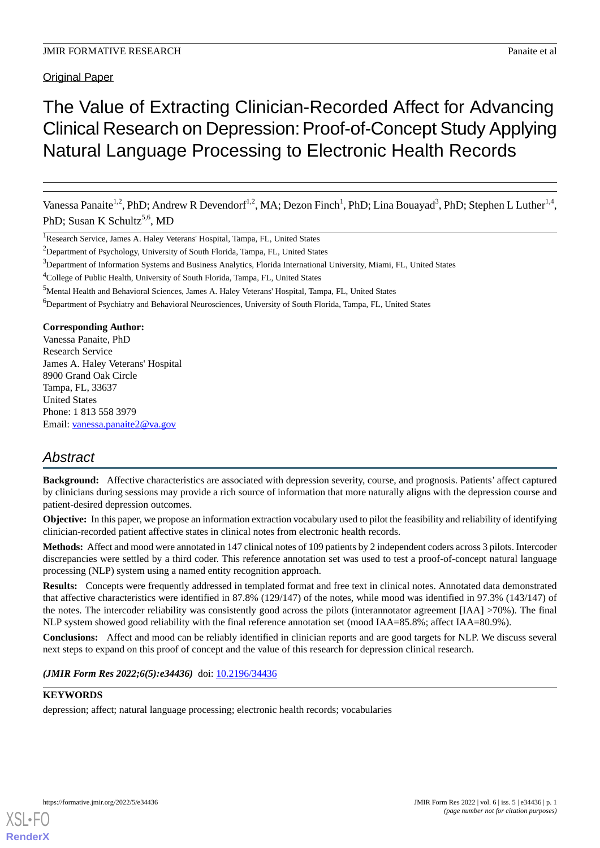Original Paper

# The Value of Extracting Clinician-Recorded Affect for Advancing Clinical Research on Depression: Proof-of-Concept Study Applying Natural Language Processing to Electronic Health Records

Vanessa Panaite<sup>1,2</sup>, PhD; Andrew R Devendorf<sup>1,2</sup>, MA; Dezon Finch<sup>1</sup>, PhD; Lina Bouayad<sup>3</sup>, PhD; Stephen L Luther<sup>1,4</sup>, PhD; Susan K Schultz<sup>5,6</sup>, MD

<sup>1</sup>Research Service, James A. Haley Veterans' Hospital, Tampa, FL, United States

<sup>2</sup>Department of Psychology, University of South Florida, Tampa, FL, United States

<sup>3</sup>Department of Information Systems and Business Analytics, Florida International University, Miami, FL, United States

<sup>4</sup>College of Public Health, University of South Florida, Tampa, FL, United States

<sup>5</sup>Mental Health and Behavioral Sciences, James A. Haley Veterans' Hospital, Tampa, FL, United States

<sup>6</sup>Department of Psychiatry and Behavioral Neurosciences, University of South Florida, Tampa, FL, United States

### **Corresponding Author:**

Vanessa Panaite, PhD Research Service James A. Haley Veterans' Hospital 8900 Grand Oak Circle Tampa, FL, 33637 United States Phone: 1 813 558 3979 Email: [vanessa.panaite2@va.gov](mailto:vanessa.panaite2@va.gov)

## *Abstract*

**Background:** Affective characteristics are associated with depression severity, course, and prognosis. Patients' affect captured by clinicians during sessions may provide a rich source of information that more naturally aligns with the depression course and patient-desired depression outcomes.

**Objective:** In this paper, we propose an information extraction vocabulary used to pilot the feasibility and reliability of identifying clinician-recorded patient affective states in clinical notes from electronic health records.

**Methods:** Affect and mood were annotated in 147 clinical notes of 109 patients by 2 independent coders across 3 pilots. Intercoder discrepancies were settled by a third coder. This reference annotation set was used to test a proof-of-concept natural language processing (NLP) system using a named entity recognition approach.

**Results:** Concepts were frequently addressed in templated format and free text in clinical notes. Annotated data demonstrated that affective characteristics were identified in 87.8% (129/147) of the notes, while mood was identified in 97.3% (143/147) of the notes. The intercoder reliability was consistently good across the pilots (interannotator agreement [IAA] >70%). The final NLP system showed good reliability with the final reference annotation set (mood IAA=85.8%; affect IAA=80.9%).

**Conclusions:** Affect and mood can be reliably identified in clinician reports and are good targets for NLP. We discuss several next steps to expand on this proof of concept and the value of this research for depression clinical research.

(JMIR Form Res 2022;6(5):e34436) doi: [10.2196/34436](http://dx.doi.org/10.2196/34436)

### **KEYWORDS**

depression; affect; natural language processing; electronic health records; vocabularies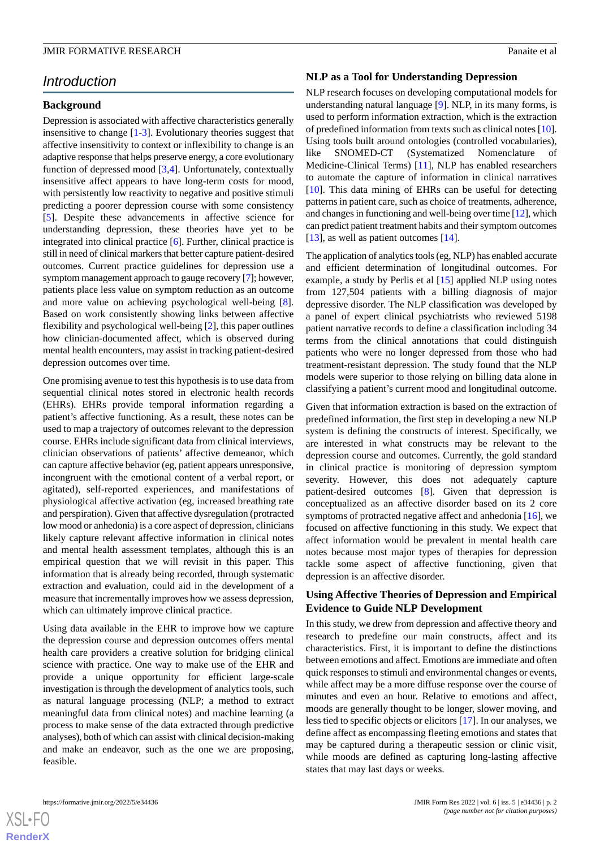### *Introduction*

### **Background**

Depression is associated with affective characteristics generally insensitive to change [[1-](#page-6-0)[3](#page-6-1)]. Evolutionary theories suggest that affective insensitivity to context or inflexibility to change is an adaptive response that helps preserve energy, a core evolutionary function of depressed mood [[3,](#page-6-1)[4](#page-6-2)]. Unfortunately, contextually insensitive affect appears to have long-term costs for mood, with persistently low reactivity to negative and positive stimuli predicting a poorer depression course with some consistency [[5\]](#page-6-3). Despite these advancements in affective science for understanding depression, these theories have yet to be integrated into clinical practice [[6\]](#page-6-4). Further, clinical practice is still in need of clinical markers that better capture patient-desired outcomes. Current practice guidelines for depression use a symptom management approach to gauge recovery [[7\]](#page-6-5); however, patients place less value on symptom reduction as an outcome and more value on achieving psychological well-being [[8\]](#page-7-0). Based on work consistently showing links between affective flexibility and psychological well-being [\[2](#page-6-6)], this paper outlines how clinician-documented affect, which is observed during mental health encounters, may assist in tracking patient-desired depression outcomes over time.

One promising avenue to test this hypothesis is to use data from sequential clinical notes stored in electronic health records (EHRs). EHRs provide temporal information regarding a patient's affective functioning. As a result, these notes can be used to map a trajectory of outcomes relevant to the depression course. EHRs include significant data from clinical interviews, clinician observations of patients' affective demeanor, which can capture affective behavior (eg, patient appears unresponsive, incongruent with the emotional content of a verbal report, or agitated), self-reported experiences, and manifestations of physiological affective activation (eg, increased breathing rate and perspiration). Given that affective dysregulation (protracted low mood or anhedonia) is a core aspect of depression, clinicians likely capture relevant affective information in clinical notes and mental health assessment templates, although this is an empirical question that we will revisit in this paper. This information that is already being recorded, through systematic extraction and evaluation, could aid in the development of a measure that incrementally improves how we assess depression, which can ultimately improve clinical practice.

Using data available in the EHR to improve how we capture the depression course and depression outcomes offers mental health care providers a creative solution for bridging clinical science with practice. One way to make use of the EHR and provide a unique opportunity for efficient large-scale investigation is through the development of analytics tools, such as natural language processing (NLP; a method to extract meaningful data from clinical notes) and machine learning (a process to make sense of the data extracted through predictive analyses), both of which can assist with clinical decision-making and make an endeavor, such as the one we are proposing, feasible.

### **NLP as a Tool for Understanding Depression**

NLP research focuses on developing computational models for understanding natural language [[9\]](#page-7-1). NLP, in its many forms, is used to perform information extraction, which is the extraction of predefined information from texts such as clinical notes [\[10\]](#page-7-2). Using tools built around ontologies (controlled vocabularies), like SNOMED-CT (Systematized Nomenclature of Medicine-Clinical Terms) [[11\]](#page-7-3), NLP has enabled researchers to automate the capture of information in clinical narratives [[10\]](#page-7-2). This data mining of EHRs can be useful for detecting patterns in patient care, such as choice of treatments, adherence, and changes in functioning and well-being over time [\[12](#page-7-4)], which can predict patient treatment habits and their symptom outcomes [[13\]](#page-7-5), as well as patient outcomes [[14\]](#page-7-6).

The application of analytics tools (eg, NLP) has enabled accurate and efficient determination of longitudinal outcomes. For example, a study by Perlis et al [[15\]](#page-7-7) applied NLP using notes from 127,504 patients with a billing diagnosis of major depressive disorder. The NLP classification was developed by a panel of expert clinical psychiatrists who reviewed 5198 patient narrative records to define a classification including 34 terms from the clinical annotations that could distinguish patients who were no longer depressed from those who had treatment-resistant depression. The study found that the NLP models were superior to those relying on billing data alone in classifying a patient's current mood and longitudinal outcome.

Given that information extraction is based on the extraction of predefined information, the first step in developing a new NLP system is defining the constructs of interest. Specifically, we are interested in what constructs may be relevant to the depression course and outcomes. Currently, the gold standard in clinical practice is monitoring of depression symptom severity. However, this does not adequately capture patient-desired outcomes [[8\]](#page-7-0). Given that depression is conceptualized as an affective disorder based on its 2 core symptoms of protracted negative affect and anhedonia [\[16](#page-7-8)], we focused on affective functioning in this study. We expect that affect information would be prevalent in mental health care notes because most major types of therapies for depression tackle some aspect of affective functioning, given that depression is an affective disorder.

### **Using Affective Theories of Depression and Empirical Evidence to Guide NLP Development**

In this study, we drew from depression and affective theory and research to predefine our main constructs, affect and its characteristics. First, it is important to define the distinctions between emotions and affect. Emotions are immediate and often quick responses to stimuli and environmental changes or events, while affect may be a more diffuse response over the course of minutes and even an hour. Relative to emotions and affect, moods are generally thought to be longer, slower moving, and less tied to specific objects or elicitors [[17\]](#page-7-9). In our analyses, we define affect as encompassing fleeting emotions and states that may be captured during a therapeutic session or clinic visit, while moods are defined as capturing long-lasting affective states that may last days or weeks.

 $XS$ -FO **[RenderX](http://www.renderx.com/)**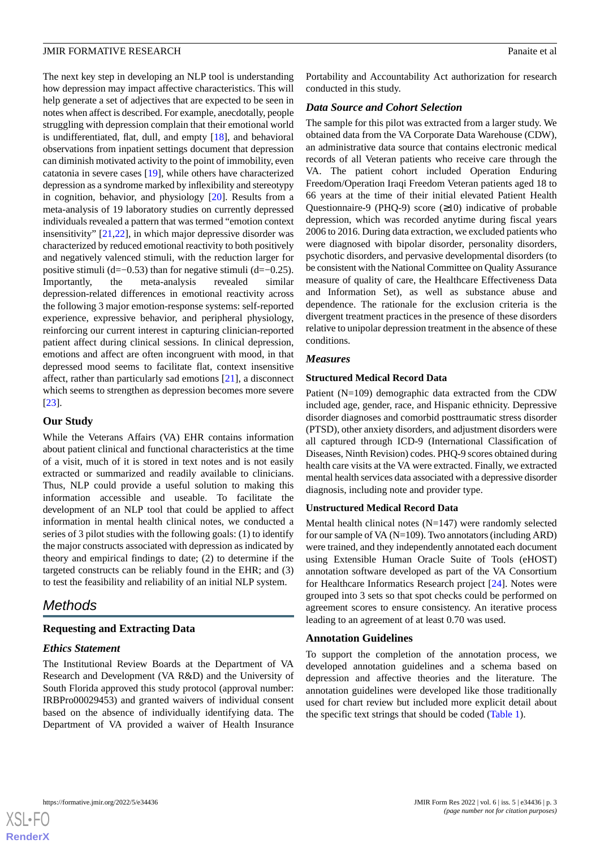The next key step in developing an NLP tool is understanding how depression may impact affective characteristics. This will help generate a set of adjectives that are expected to be seen in notes when affect is described. For example, anecdotally, people struggling with depression complain that their emotional world is undifferentiated, flat, dull, and empty [\[18](#page-7-10)], and behavioral observations from inpatient settings document that depression can diminish motivated activity to the point of immobility, even catatonia in severe cases [[19\]](#page-7-11), while others have characterized depression as a syndrome marked by inflexibility and stereotypy in cognition, behavior, and physiology [\[20](#page-7-12)]. Results from a meta-analysis of 19 laboratory studies on currently depressed individuals revealed a pattern that was termed "emotion context insensitivity" [[21,](#page-7-13)[22](#page-7-14)], in which major depressive disorder was characterized by reduced emotional reactivity to both positively and negatively valenced stimuli, with the reduction larger for positive stimuli (d=−0.53) than for negative stimuli (d=−0.25). Importantly, the meta-analysis revealed similar depression-related differences in emotional reactivity across the following 3 major emotion-response systems: self-reported experience, expressive behavior, and peripheral physiology, reinforcing our current interest in capturing clinician-reported patient affect during clinical sessions. In clinical depression, emotions and affect are often incongruent with mood, in that depressed mood seems to facilitate flat, context insensitive affect, rather than particularly sad emotions [\[21](#page-7-13)], a disconnect which seems to strengthen as depression becomes more severe [[23\]](#page-7-15).

### **Our Study**

While the Veterans Affairs (VA) EHR contains information about patient clinical and functional characteristics at the time of a visit, much of it is stored in text notes and is not easily extracted or summarized and readily available to clinicians. Thus, NLP could provide a useful solution to making this information accessible and useable. To facilitate the development of an NLP tool that could be applied to affect information in mental health clinical notes, we conducted a series of 3 pilot studies with the following goals: (1) to identify the major constructs associated with depression as indicated by theory and empirical findings to date; (2) to determine if the targeted constructs can be reliably found in the EHR; and (3) to test the feasibility and reliability of an initial NLP system.

### *Methods*

### **Requesting and Extracting Data**

### *Ethics Statement*

The Institutional Review Boards at the Department of VA Research and Development (VA R&D) and the University of South Florida approved this study protocol (approval number: IRBPro00029453) and granted waivers of individual consent based on the absence of individually identifying data. The Department of VA provided a waiver of Health Insurance

Portability and Accountability Act authorization for research conducted in this study.

### *Data Source and Cohort Selection*

The sample for this pilot was extracted from a larger study. We obtained data from the VA Corporate Data Warehouse (CDW), an administrative data source that contains electronic medical records of all Veteran patients who receive care through the VA. The patient cohort included Operation Enduring Freedom/Operation Iraqi Freedom Veteran patients aged 18 to 66 years at the time of their initial elevated Patient Health Questionnaire-9 (PHQ-9) score  $(\geq 10)$  indicative of probable depression, which was recorded anytime during fiscal years 2006 to 2016. During data extraction, we excluded patients who were diagnosed with bipolar disorder, personality disorders, psychotic disorders, and pervasive developmental disorders (to be consistent with the National Committee on Quality Assurance measure of quality of care, the Healthcare Effectiveness Data and Information Set), as well as substance abuse and dependence. The rationale for the exclusion criteria is the divergent treatment practices in the presence of these disorders relative to unipolar depression treatment in the absence of these conditions.

### *Measures*

### **Structured Medical Record Data**

Patient (N=109) demographic data extracted from the CDW included age, gender, race, and Hispanic ethnicity. Depressive disorder diagnoses and comorbid posttraumatic stress disorder (PTSD), other anxiety disorders, and adjustment disorders were all captured through ICD-9 (International Classification of Diseases, Ninth Revision) codes. PHQ-9 scores obtained during health care visits at the VA were extracted. Finally, we extracted mental health services data associated with a depressive disorder diagnosis, including note and provider type.

#### **Unstructured Medical Record Data**

Mental health clinical notes (N=147) were randomly selected for our sample of VA (N=109). Two annotators (including ARD) were trained, and they independently annotated each document using Extensible Human Oracle Suite of Tools (eHOST) annotation software developed as part of the VA Consortium for Healthcare Informatics Research project [[24\]](#page-7-16). Notes were grouped into 3 sets so that spot checks could be performed on agreement scores to ensure consistency. An iterative process leading to an agreement of at least 0.70 was used.

### **Annotation Guidelines**

To support the completion of the annotation process, we developed annotation guidelines and a schema based on depression and affective theories and the literature. The annotation guidelines were developed like those traditionally used for chart review but included more explicit detail about the specific text strings that should be coded ([Table 1](#page-3-0)).

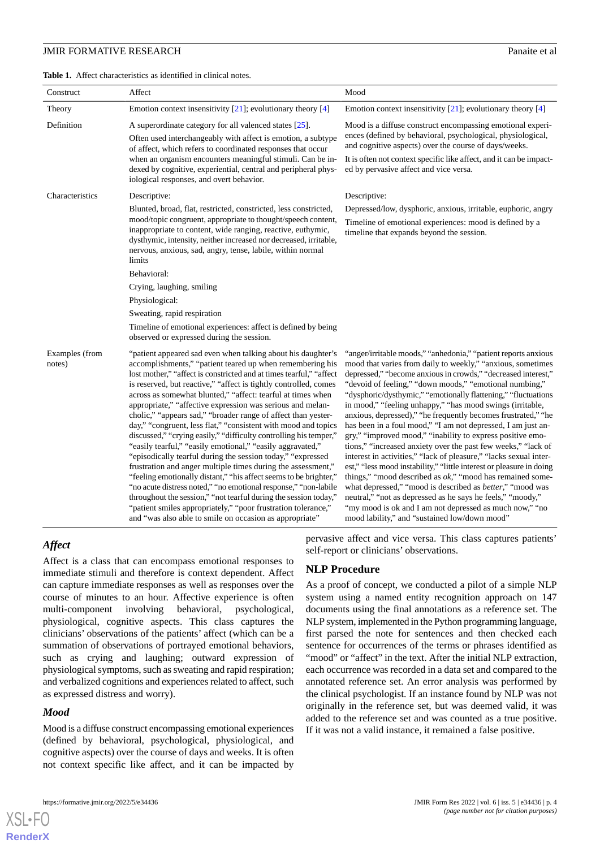<span id="page-3-0"></span>**Table 1.** Affect characteristics as identified in clinical notes.

| Construct                | Affect                                                                                                                                                                                                                                                                                                                                                                                                                                                                                                                                                                                                                                                                                                                                                                                                                                                                                                                                                                                                                                                                                                                                         | Mood                                                                                                                                                                                                                                                                                                                                                                                                                                                                                                                                                                                                                                                                                                                                                                                                                                                                                                                                                                                                                                                                                                                 |  |  |  |  |  |
|--------------------------|------------------------------------------------------------------------------------------------------------------------------------------------------------------------------------------------------------------------------------------------------------------------------------------------------------------------------------------------------------------------------------------------------------------------------------------------------------------------------------------------------------------------------------------------------------------------------------------------------------------------------------------------------------------------------------------------------------------------------------------------------------------------------------------------------------------------------------------------------------------------------------------------------------------------------------------------------------------------------------------------------------------------------------------------------------------------------------------------------------------------------------------------|----------------------------------------------------------------------------------------------------------------------------------------------------------------------------------------------------------------------------------------------------------------------------------------------------------------------------------------------------------------------------------------------------------------------------------------------------------------------------------------------------------------------------------------------------------------------------------------------------------------------------------------------------------------------------------------------------------------------------------------------------------------------------------------------------------------------------------------------------------------------------------------------------------------------------------------------------------------------------------------------------------------------------------------------------------------------------------------------------------------------|--|--|--|--|--|
| Theory                   | Emotion context insensitivity $[21]$ ; evolutionary theory $[4]$                                                                                                                                                                                                                                                                                                                                                                                                                                                                                                                                                                                                                                                                                                                                                                                                                                                                                                                                                                                                                                                                               | Emotion context insensitivity [21]; evolutionary theory [4]                                                                                                                                                                                                                                                                                                                                                                                                                                                                                                                                                                                                                                                                                                                                                                                                                                                                                                                                                                                                                                                          |  |  |  |  |  |
| Definition               | A superordinate category for all valenced states [25].                                                                                                                                                                                                                                                                                                                                                                                                                                                                                                                                                                                                                                                                                                                                                                                                                                                                                                                                                                                                                                                                                         | Mood is a diffuse construct encompassing emotional experi-<br>ences (defined by behavioral, psychological, physiological,<br>and cognitive aspects) over the course of days/weeks.<br>It is often not context specific like affect, and it can be impact-<br>ed by pervasive affect and vice versa.                                                                                                                                                                                                                                                                                                                                                                                                                                                                                                                                                                                                                                                                                                                                                                                                                  |  |  |  |  |  |
|                          | Often used interchangeably with affect is emotion, a subtype<br>of affect, which refers to coordinated responses that occur                                                                                                                                                                                                                                                                                                                                                                                                                                                                                                                                                                                                                                                                                                                                                                                                                                                                                                                                                                                                                    |                                                                                                                                                                                                                                                                                                                                                                                                                                                                                                                                                                                                                                                                                                                                                                                                                                                                                                                                                                                                                                                                                                                      |  |  |  |  |  |
|                          | when an organism encounters meaningful stimuli. Can be in-<br>dexed by cognitive, experiential, central and peripheral phys-<br>iological responses, and overt behavior.                                                                                                                                                                                                                                                                                                                                                                                                                                                                                                                                                                                                                                                                                                                                                                                                                                                                                                                                                                       |                                                                                                                                                                                                                                                                                                                                                                                                                                                                                                                                                                                                                                                                                                                                                                                                                                                                                                                                                                                                                                                                                                                      |  |  |  |  |  |
| Characteristics          | Descriptive:                                                                                                                                                                                                                                                                                                                                                                                                                                                                                                                                                                                                                                                                                                                                                                                                                                                                                                                                                                                                                                                                                                                                   | Descriptive:                                                                                                                                                                                                                                                                                                                                                                                                                                                                                                                                                                                                                                                                                                                                                                                                                                                                                                                                                                                                                                                                                                         |  |  |  |  |  |
|                          | Blunted, broad, flat, restricted, constricted, less constricted,                                                                                                                                                                                                                                                                                                                                                                                                                                                                                                                                                                                                                                                                                                                                                                                                                                                                                                                                                                                                                                                                               | Depressed/low, dysphoric, anxious, irritable, euphoric, angry                                                                                                                                                                                                                                                                                                                                                                                                                                                                                                                                                                                                                                                                                                                                                                                                                                                                                                                                                                                                                                                        |  |  |  |  |  |
|                          | mood/topic congruent, appropriate to thought/speech content,<br>inappropriate to content, wide ranging, reactive, euthymic,<br>dysthymic, intensity, neither increased nor decreased, irritable,<br>nervous, anxious, sad, angry, tense, labile, within normal<br>limits                                                                                                                                                                                                                                                                                                                                                                                                                                                                                                                                                                                                                                                                                                                                                                                                                                                                       | Timeline of emotional experiences: mood is defined by a<br>timeline that expands beyond the session.                                                                                                                                                                                                                                                                                                                                                                                                                                                                                                                                                                                                                                                                                                                                                                                                                                                                                                                                                                                                                 |  |  |  |  |  |
|                          | Behavioral:                                                                                                                                                                                                                                                                                                                                                                                                                                                                                                                                                                                                                                                                                                                                                                                                                                                                                                                                                                                                                                                                                                                                    |                                                                                                                                                                                                                                                                                                                                                                                                                                                                                                                                                                                                                                                                                                                                                                                                                                                                                                                                                                                                                                                                                                                      |  |  |  |  |  |
|                          | Crying, laughing, smiling                                                                                                                                                                                                                                                                                                                                                                                                                                                                                                                                                                                                                                                                                                                                                                                                                                                                                                                                                                                                                                                                                                                      |                                                                                                                                                                                                                                                                                                                                                                                                                                                                                                                                                                                                                                                                                                                                                                                                                                                                                                                                                                                                                                                                                                                      |  |  |  |  |  |
|                          | Physiological:                                                                                                                                                                                                                                                                                                                                                                                                                                                                                                                                                                                                                                                                                                                                                                                                                                                                                                                                                                                                                                                                                                                                 |                                                                                                                                                                                                                                                                                                                                                                                                                                                                                                                                                                                                                                                                                                                                                                                                                                                                                                                                                                                                                                                                                                                      |  |  |  |  |  |
|                          | Sweating, rapid respiration                                                                                                                                                                                                                                                                                                                                                                                                                                                                                                                                                                                                                                                                                                                                                                                                                                                                                                                                                                                                                                                                                                                    |                                                                                                                                                                                                                                                                                                                                                                                                                                                                                                                                                                                                                                                                                                                                                                                                                                                                                                                                                                                                                                                                                                                      |  |  |  |  |  |
|                          | Timeline of emotional experiences: affect is defined by being<br>observed or expressed during the session.                                                                                                                                                                                                                                                                                                                                                                                                                                                                                                                                                                                                                                                                                                                                                                                                                                                                                                                                                                                                                                     |                                                                                                                                                                                                                                                                                                                                                                                                                                                                                                                                                                                                                                                                                                                                                                                                                                                                                                                                                                                                                                                                                                                      |  |  |  |  |  |
| Examples (from<br>notes) | "patient appeared sad even when talking about his daughter's<br>accomplishments," "patient teared up when remembering his<br>lost mother," "affect is constricted and at times tearful," "affect<br>is reserved, but reactive," "affect is tightly controlled, comes<br>across as somewhat blunted," "affect: tearful at times when<br>appropriate," "affective expression was serious and melan-<br>cholic," "appears sad," "broader range of affect than yester-<br>day," "congruent, less flat," "consistent with mood and topics<br>discussed," "crying easily," "difficulty controlling his temper,"<br>"easily tearful," "easily emotional," "easily aggravated,"<br>"episodically tearful during the session today," "expressed<br>frustration and anger multiple times during the assessment,"<br>"feeling emotionally distant," "his affect seems to be brighter,"<br>"no acute distress noted," "no emotional response," "non-labile<br>throughout the session," "not tearful during the session today,"<br>"patient smiles appropriately," "poor frustration tolerance,"<br>and "was also able to smile on occasion as appropriate" | "anger/irritable moods," "anhedonia," "patient reports anxious<br>mood that varies from daily to weekly," "anxious, sometimes<br>depressed," "become anxious in crowds," "decreased interest,"<br>"devoid of feeling," "down moods," "emotional numbing,"<br>"dysphoric/dysthymic," "emotionally flattening," "fluctuations<br>in mood," "feeling unhappy," "has mood swings (irritable,<br>anxious, depressed)," "he frequently becomes frustrated," "he<br>has been in a foul mood," "I am not depressed, I am just an-<br>gry," "improved mood," "inability to express positive emo-<br>tions," "increased anxiety over the past few weeks," "lack of<br>interest in activities," "lack of pleasure," "lacks sexual inter-<br>est," "less mood instability," "little interest or pleasure in doing<br>things," "mood described as $ok$ ," "mood has remained some-<br>what depressed," "mood is described as <i>better</i> ," "mood was<br>neutral," "not as depressed as he says he feels," "moody,"<br>"my mood is ok and I am not depressed as much now," "no<br>mood lability," and "sustained low/down mood" |  |  |  |  |  |

### *Affect*

Affect is a class that can encompass emotional responses to immediate stimuli and therefore is context dependent. Affect can capture immediate responses as well as responses over the course of minutes to an hour. Affective experience is often multi-component involving behavioral, psychological, physiological, cognitive aspects. This class captures the clinicians' observations of the patients' affect (which can be a summation of observations of portrayed emotional behaviors, such as crying and laughing; outward expression of physiological symptoms, such as sweating and rapid respiration; and verbalized cognitions and experiences related to affect, such as expressed distress and worry).

### *Mood*

[XSL](http://www.w3.org/Style/XSL)•FO **[RenderX](http://www.renderx.com/)**

Mood is a diffuse construct encompassing emotional experiences (defined by behavioral, psychological, physiological, and cognitive aspects) over the course of days and weeks. It is often not context specific like affect, and it can be impacted by

pervasive affect and vice versa. This class captures patients' self-report or clinicians' observations.

### **NLP Procedure**

As a proof of concept, we conducted a pilot of a simple NLP system using a named entity recognition approach on 147 documents using the final annotations as a reference set. The NLP system, implemented in the Python programming language, first parsed the note for sentences and then checked each sentence for occurrences of the terms or phrases identified as "mood" or "affect" in the text. After the initial NLP extraction, each occurrence was recorded in a data set and compared to the annotated reference set. An error analysis was performed by the clinical psychologist. If an instance found by NLP was not originally in the reference set, but was deemed valid, it was added to the reference set and was counted as a true positive. If it was not a valid instance, it remained a false positive.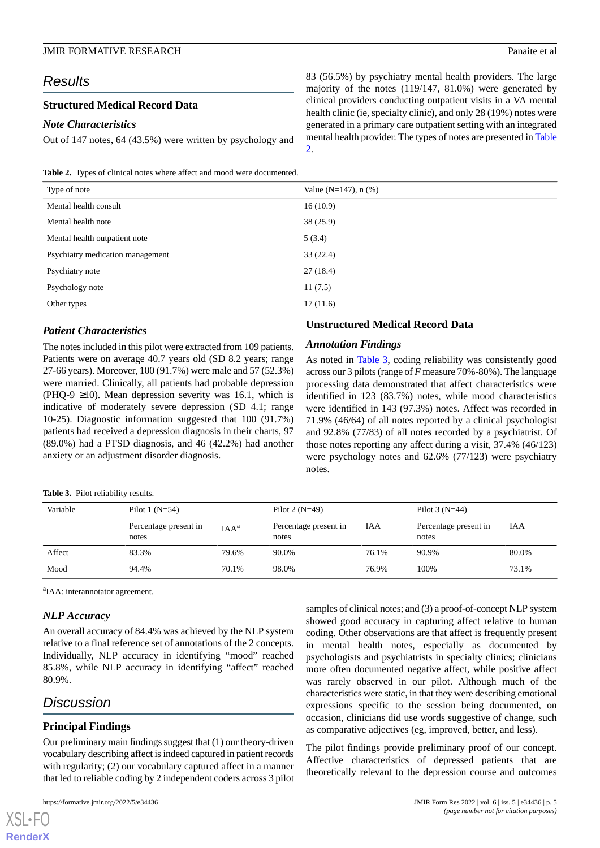### *Results*

### **Structured Medical Record Data**

### *Note Characteristics*

83 (56.5%) by psychiatry mental health providers. The large majority of the notes (119/147, 81.0%) were generated by clinical providers conducting outpatient visits in a VA mental health clinic (ie, specialty clinic), and only 28 (19%) notes were generated in a primary care outpatient setting with an integrated mental health provider. The types of notes are presented in [Table](#page-4-0) [2.](#page-4-0)

<span id="page-4-0"></span>**Table 2.** Types of clinical notes where affect and mood were documented.

Out of 147 notes, 64 (43.5%) were written by psychology and

| Type of note                     | Value ( $N=147$ ), n (%) |  |  |
|----------------------------------|--------------------------|--|--|
| Mental health consult            | 16(10.9)                 |  |  |
| Mental health note               | 38(25.9)                 |  |  |
| Mental health outpatient note    | 5(3.4)                   |  |  |
| Psychiatry medication management | 33(22.4)                 |  |  |
| Psychiatry note                  | 27(18.4)                 |  |  |
| Psychology note                  | 11(7.5)                  |  |  |
| Other types                      | 17(11.6)                 |  |  |

### *Patient Characteristics*

The notes included in this pilot were extracted from 109 patients. Patients were on average 40.7 years old (SD 8.2 years; range 27-66 years). Moreover, 100 (91.7%) were male and 57 (52.3%) were married. Clinically, all patients had probable depression (PHQ-9  $\geq$ 10). Mean depression severity was 16.1, which is indicative of moderately severe depression (SD 4.1; range 10-25). Diagnostic information suggested that 100 (91.7%) patients had received a depression diagnosis in their charts, 97 (89.0%) had a PTSD diagnosis, and 46 (42.2%) had another anxiety or an adjustment disorder diagnosis.

### **Unstructured Medical Record Data**

### *Annotation Findings*

As noted in [Table 3,](#page-4-1) coding reliability was consistently good across our 3 pilots (range of *F* measure 70%-80%). The language processing data demonstrated that affect characteristics were identified in 123 (83.7%) notes, while mood characteristics were identified in 143 (97.3%) notes. Affect was recorded in 71.9% (46/64) of all notes reported by a clinical psychologist and 92.8% (77/83) of all notes recorded by a psychiatrist. Of those notes reporting any affect during a visit, 37.4% (46/123) were psychology notes and 62.6% (77/123) were psychiatry notes.

<span id="page-4-1"></span>**Table 3.** Pilot reliability results.

| Variable | Pilot 1 $(N=54)$               |         | Pilot 2 $(N=49)$               |       | Pilot $3(N=44)$                |       |
|----------|--------------------------------|---------|--------------------------------|-------|--------------------------------|-------|
|          | Percentage present in<br>notes | $IAA^a$ | Percentage present in<br>notes | IAA   | Percentage present in<br>notes | IAA   |
| Affect   | 83.3%                          | 79.6%   | 90.0%                          | 76.1% | 90.9%                          | 80.0% |
| Mood     | 94.4%                          | 70.1%   | 98.0%                          | 76.9% | 100%                           | 73.1% |

<sup>a</sup>IAA: interannotator agreement.

### *NLP Accuracy*

An overall accuracy of 84.4% was achieved by the NLP system relative to a final reference set of annotations of the 2 concepts. Individually, NLP accuracy in identifying "mood" reached 85.8%, while NLP accuracy in identifying "affect" reached 80.9%.

### *Discussion*

[XSL](http://www.w3.org/Style/XSL)•FO **[RenderX](http://www.renderx.com/)**

### **Principal Findings**

Our preliminary main findings suggest that (1) our theory-driven vocabulary describing affect is indeed captured in patient records with regularity; (2) our vocabulary captured affect in a manner that led to reliable coding by 2 independent coders across 3 pilot

samples of clinical notes; and (3) a proof-of-concept NLP system showed good accuracy in capturing affect relative to human coding. Other observations are that affect is frequently present in mental health notes, especially as documented by psychologists and psychiatrists in specialty clinics; clinicians more often documented negative affect, while positive affect was rarely observed in our pilot. Although much of the characteristics were static, in that they were describing emotional expressions specific to the session being documented, on occasion, clinicians did use words suggestive of change, such as comparative adjectives (eg, improved, better, and less).

The pilot findings provide preliminary proof of our concept. Affective characteristics of depressed patients that are theoretically relevant to the depression course and outcomes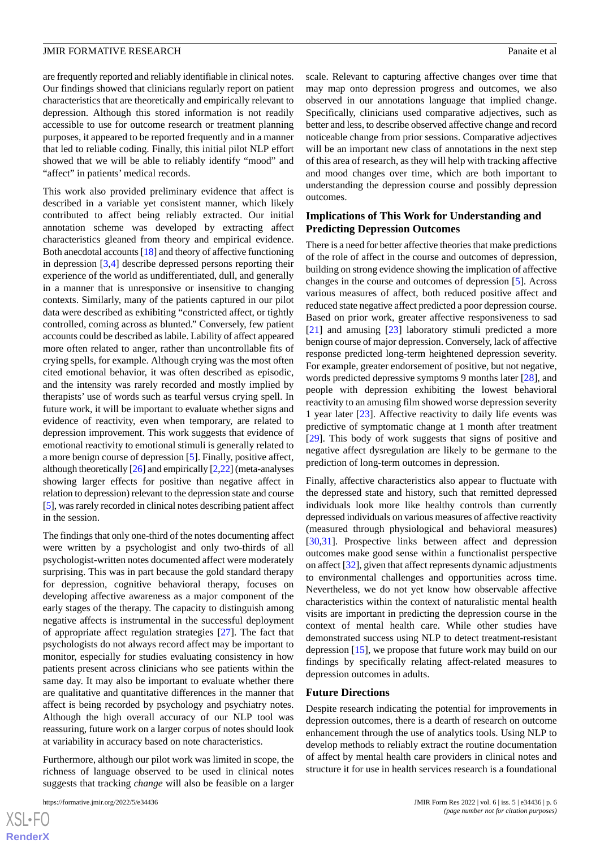are frequently reported and reliably identifiable in clinical notes. Our findings showed that clinicians regularly report on patient characteristics that are theoretically and empirically relevant to depression. Although this stored information is not readily accessible to use for outcome research or treatment planning purposes, it appeared to be reported frequently and in a manner that led to reliable coding. Finally, this initial pilot NLP effort showed that we will be able to reliably identify "mood" and "affect" in patients' medical records.

This work also provided preliminary evidence that affect is described in a variable yet consistent manner, which likely contributed to affect being reliably extracted. Our initial annotation scheme was developed by extracting affect characteristics gleaned from theory and empirical evidence. Both anecdotal accounts [[18](#page-7-10)] and theory of affective functioning in depression [\[3](#page-6-1),[4\]](#page-6-2) describe depressed persons reporting their experience of the world as undifferentiated, dull, and generally in a manner that is unresponsive or insensitive to changing contexts. Similarly, many of the patients captured in our pilot data were described as exhibiting "constricted affect, or tightly controlled, coming across as blunted." Conversely, few patient accounts could be described as labile. Lability of affect appeared more often related to anger, rather than uncontrollable fits of crying spells, for example. Although crying was the most often cited emotional behavior, it was often described as episodic, and the intensity was rarely recorded and mostly implied by therapists' use of words such as tearful versus crying spell. In future work, it will be important to evaluate whether signs and evidence of reactivity, even when temporary, are related to depression improvement. This work suggests that evidence of emotional reactivity to emotional stimuli is generally related to a more benign course of depression [[5\]](#page-6-3). Finally, positive affect, although theoretically [[26](#page-7-18)] and empirically [\[2](#page-6-6),[22](#page-7-14)] (meta-analyses showing larger effects for positive than negative affect in relation to depression) relevant to the depression state and course [[5\]](#page-6-3), was rarely recorded in clinical notes describing patient affect in the session.

The findings that only one-third of the notes documenting affect were written by a psychologist and only two-thirds of all psychologist-written notes documented affect were moderately surprising. This was in part because the gold standard therapy for depression, cognitive behavioral therapy, focuses on developing affective awareness as a major component of the early stages of the therapy. The capacity to distinguish among negative affects is instrumental in the successful deployment of appropriate affect regulation strategies [\[27](#page-7-19)]. The fact that psychologists do not always record affect may be important to monitor, especially for studies evaluating consistency in how patients present across clinicians who see patients within the same day. It may also be important to evaluate whether there are qualitative and quantitative differences in the manner that affect is being recorded by psychology and psychiatry notes. Although the high overall accuracy of our NLP tool was reassuring, future work on a larger corpus of notes should look at variability in accuracy based on note characteristics.

Furthermore, although our pilot work was limited in scope, the richness of language observed to be used in clinical notes suggests that tracking *change* will also be feasible on a larger

[XSL](http://www.w3.org/Style/XSL)•FO **[RenderX](http://www.renderx.com/)** scale. Relevant to capturing affective changes over time that may map onto depression progress and outcomes, we also observed in our annotations language that implied change. Specifically, clinicians used comparative adjectives, such as better and less, to describe observed affective change and record noticeable change from prior sessions. Comparative adjectives will be an important new class of annotations in the next step of this area of research, as they will help with tracking affective and mood changes over time, which are both important to understanding the depression course and possibly depression outcomes.

### **Implications of This Work for Understanding and Predicting Depression Outcomes**

There is a need for better affective theories that make predictions of the role of affect in the course and outcomes of depression, building on strong evidence showing the implication of affective changes in the course and outcomes of depression [\[5](#page-6-3)]. Across various measures of affect, both reduced positive affect and reduced state negative affect predicted a poor depression course. Based on prior work, greater affective responsiveness to sad [[21\]](#page-7-13) and amusing [[23\]](#page-7-15) laboratory stimuli predicted a more benign course of major depression. Conversely, lack of affective response predicted long-term heightened depression severity. For example, greater endorsement of positive, but not negative, words predicted depressive symptoms 9 months later [\[28](#page-7-20)], and people with depression exhibiting the lowest behavioral reactivity to an amusing film showed worse depression severity 1 year later [\[23](#page-7-15)]. Affective reactivity to daily life events was predictive of symptomatic change at 1 month after treatment [[29\]](#page-7-21). This body of work suggests that signs of positive and negative affect dysregulation are likely to be germane to the prediction of long-term outcomes in depression.

Finally, affective characteristics also appear to fluctuate with the depressed state and history, such that remitted depressed individuals look more like healthy controls than currently depressed individuals on various measures of affective reactivity (measured through physiological and behavioral measures) [[30,](#page-7-22)[31\]](#page-7-23). Prospective links between affect and depression outcomes make good sense within a functionalist perspective on affect [\[32](#page-7-24)], given that affect represents dynamic adjustments to environmental challenges and opportunities across time. Nevertheless, we do not yet know how observable affective characteristics within the context of naturalistic mental health visits are important in predicting the depression course in the context of mental health care. While other studies have demonstrated success using NLP to detect treatment-resistant depression [\[15](#page-7-7)], we propose that future work may build on our findings by specifically relating affect-related measures to depression outcomes in adults.

#### **Future Directions**

Despite research indicating the potential for improvements in depression outcomes, there is a dearth of research on outcome enhancement through the use of analytics tools. Using NLP to develop methods to reliably extract the routine documentation of affect by mental health care providers in clinical notes and structure it for use in health services research is a foundational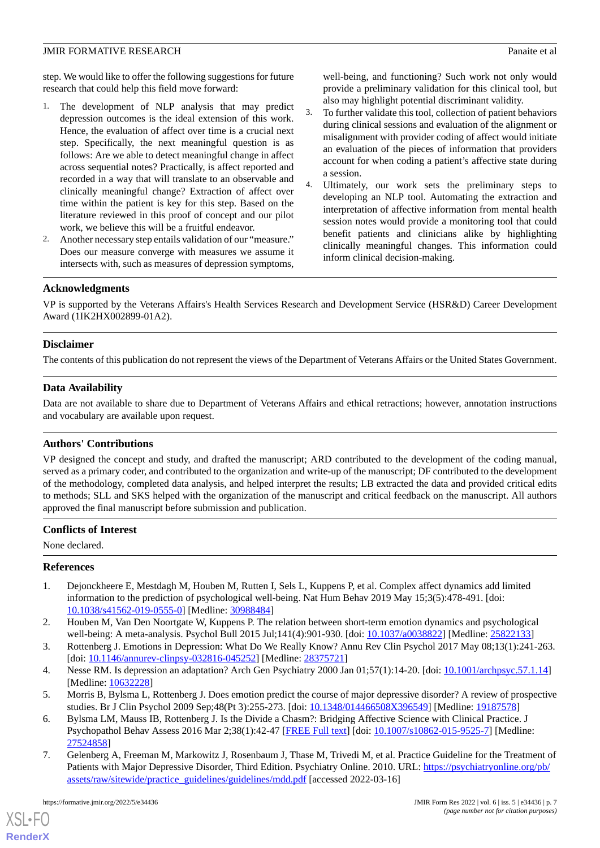step. We would like to offer the following suggestions for future research that could help this field move forward:

- 1. The development of NLP analysis that may predict depression outcomes is the ideal extension of this work. Hence, the evaluation of affect over time is a crucial next step. Specifically, the next meaningful question is as follows: Are we able to detect meaningful change in affect across sequential notes? Practically, is affect reported and recorded in a way that will translate to an observable and clinically meaningful change? Extraction of affect over time within the patient is key for this step. Based on the literature reviewed in this proof of concept and our pilot work, we believe this will be a fruitful endeavor.
- 2. Another necessary step entails validation of our "measure." Does our measure converge with measures we assume it intersects with, such as measures of depression symptoms,

well-being, and functioning? Such work not only would provide a preliminary validation for this clinical tool, but also may highlight potential discriminant validity.

- 3. To further validate this tool, collection of patient behaviors during clinical sessions and evaluation of the alignment or misalignment with provider coding of affect would initiate an evaluation of the pieces of information that providers account for when coding a patient's affective state during a session.
- 4. Ultimately, our work sets the preliminary steps to developing an NLP tool. Automating the extraction and interpretation of affective information from mental health session notes would provide a monitoring tool that could benefit patients and clinicians alike by highlighting clinically meaningful changes. This information could inform clinical decision-making.

### **Acknowledgments**

VP is supported by the Veterans Affairs's Health Services Research and Development Service (HSR&D) Career Development Award (1IK2HX002899-01A2).

### **Disclaimer**

The contents of this publication do not represent the views of the Department of Veterans Affairs or the United States Government.

### **Data Availability**

Data are not available to share due to Department of Veterans Affairs and ethical retractions; however, annotation instructions and vocabulary are available upon request.

### **Authors' Contributions**

VP designed the concept and study, and drafted the manuscript; ARD contributed to the development of the coding manual, served as a primary coder, and contributed to the organization and write-up of the manuscript; DF contributed to the development of the methodology, completed data analysis, and helped interpret the results; LB extracted the data and provided critical edits to methods; SLL and SKS helped with the organization of the manuscript and critical feedback on the manuscript. All authors approved the final manuscript before submission and publication.

### <span id="page-6-0"></span>**Conflicts of Interest**

None declared.

### <span id="page-6-6"></span>**References**

- <span id="page-6-1"></span>1. Dejonckheere E, Mestdagh M, Houben M, Rutten I, Sels L, Kuppens P, et al. Complex affect dynamics add limited information to the prediction of psychological well-being. Nat Hum Behav 2019 May 15;3(5):478-491. [doi: [10.1038/s41562-019-0555-0\]](http://dx.doi.org/10.1038/s41562-019-0555-0) [Medline: [30988484](http://www.ncbi.nlm.nih.gov/entrez/query.fcgi?cmd=Retrieve&db=PubMed&list_uids=30988484&dopt=Abstract)]
- <span id="page-6-3"></span><span id="page-6-2"></span>2. Houben M, Van Den Noortgate W, Kuppens P. The relation between short-term emotion dynamics and psychological well-being: A meta-analysis. Psychol Bull 2015 Jul;141(4):901-930. [doi: [10.1037/a0038822](http://dx.doi.org/10.1037/a0038822)] [Medline: [25822133\]](http://www.ncbi.nlm.nih.gov/entrez/query.fcgi?cmd=Retrieve&db=PubMed&list_uids=25822133&dopt=Abstract)
- <span id="page-6-4"></span>3. Rottenberg J. Emotions in Depression: What Do We Really Know? Annu Rev Clin Psychol 2017 May 08;13(1):241-263. [doi: [10.1146/annurev-clinpsy-032816-045252](http://dx.doi.org/10.1146/annurev-clinpsy-032816-045252)] [Medline: [28375721\]](http://www.ncbi.nlm.nih.gov/entrez/query.fcgi?cmd=Retrieve&db=PubMed&list_uids=28375721&dopt=Abstract)
- <span id="page-6-5"></span>4. Nesse RM. Is depression an adaptation? Arch Gen Psychiatry 2000 Jan 01;57(1):14-20. [doi: [10.1001/archpsyc.57.1.14\]](http://dx.doi.org/10.1001/archpsyc.57.1.14) [Medline: [10632228](http://www.ncbi.nlm.nih.gov/entrez/query.fcgi?cmd=Retrieve&db=PubMed&list_uids=10632228&dopt=Abstract)]
- 5. Morris B, Bylsma L, Rottenberg J. Does emotion predict the course of major depressive disorder? A review of prospective studies. Br J Clin Psychol 2009 Sep;48(Pt 3):255-273. [doi: [10.1348/014466508X396549\]](http://dx.doi.org/10.1348/014466508X396549) [Medline: [19187578\]](http://www.ncbi.nlm.nih.gov/entrez/query.fcgi?cmd=Retrieve&db=PubMed&list_uids=19187578&dopt=Abstract)
- 6. Bylsma LM, Mauss IB, Rottenberg J. Is the Divide a Chasm?: Bridging Affective Science with Clinical Practice. J Psychopathol Behav Assess 2016 Mar 2;38(1):42-47 [[FREE Full text\]](http://europepmc.org/abstract/MED/27524858) [doi: [10.1007/s10862-015-9525-7](http://dx.doi.org/10.1007/s10862-015-9525-7)] [Medline: [27524858](http://www.ncbi.nlm.nih.gov/entrez/query.fcgi?cmd=Retrieve&db=PubMed&list_uids=27524858&dopt=Abstract)]
- 7. Gelenberg A, Freeman M, Markowitz J, Rosenbaum J, Thase M, Trivedi M, et al. Practice Guideline for the Treatment of Patients with Major Depressive Disorder, Third Edition. Psychiatry Online. 2010. URL: [https://psychiatryonline.org/pb/](https://psychiatryonline.org/pb/assets/raw/sitewide/practice_guidelines/guidelines/mdd.pdf) [assets/raw/sitewide/practice\\_guidelines/guidelines/mdd.pdf](https://psychiatryonline.org/pb/assets/raw/sitewide/practice_guidelines/guidelines/mdd.pdf) [accessed 2022-03-16]

[XSL](http://www.w3.org/Style/XSL)•FO **[RenderX](http://www.renderx.com/)**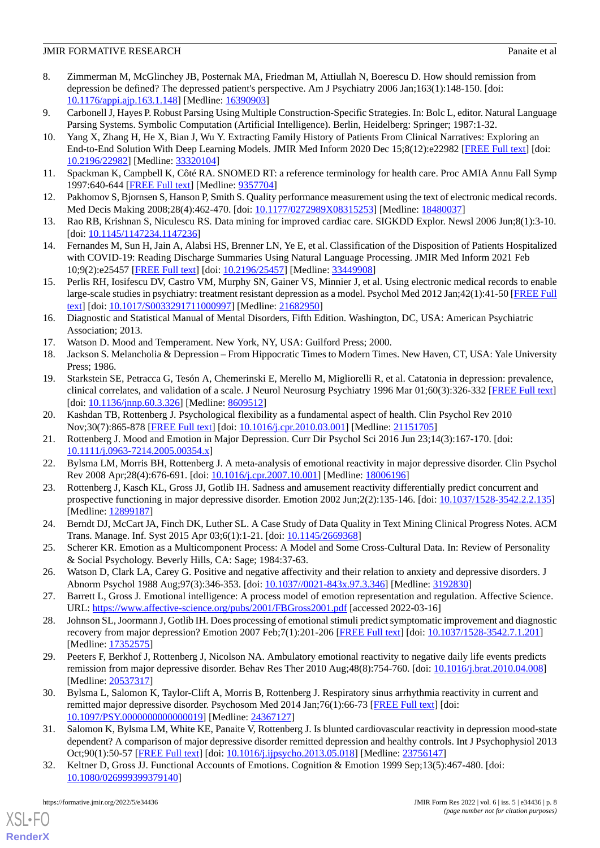### **JMIR FORMATIVE RESEARCH Panaite et al. Panaite et al. Panaite et al. Panaite et al. Panaite et al. Panaite et al. Panaite et al. Panaite et al. Panaite et al. Panaite et al. Panaite et al. Panaite**

- <span id="page-7-0"></span>8. Zimmerman M, McGlinchey JB, Posternak MA, Friedman M, Attiullah N, Boerescu D. How should remission from depression be defined? The depressed patient's perspective. Am J Psychiatry 2006 Jan;163(1):148-150. [doi: [10.1176/appi.ajp.163.1.148](http://dx.doi.org/10.1176/appi.ajp.163.1.148)] [Medline: [16390903](http://www.ncbi.nlm.nih.gov/entrez/query.fcgi?cmd=Retrieve&db=PubMed&list_uids=16390903&dopt=Abstract)]
- <span id="page-7-2"></span><span id="page-7-1"></span>9. Carbonell J, Hayes P. Robust Parsing Using Multiple Construction-Specific Strategies. In: Bolc L, editor. Natural Language Parsing Systems. Symbolic Computation (Artificial Intelligence). Berlin, Heidelberg: Springer; 1987:1-32.
- 10. Yang X, Zhang H, He X, Bian J, Wu Y. Extracting Family History of Patients From Clinical Narratives: Exploring an End-to-End Solution With Deep Learning Models. JMIR Med Inform 2020 Dec 15;8(12):e22982 [\[FREE Full text\]](https://medinform.jmir.org/2020/12/e22982/) [doi: [10.2196/22982\]](http://dx.doi.org/10.2196/22982) [Medline: [33320104\]](http://www.ncbi.nlm.nih.gov/entrez/query.fcgi?cmd=Retrieve&db=PubMed&list_uids=33320104&dopt=Abstract)
- <span id="page-7-4"></span><span id="page-7-3"></span>11. Spackman K, Campbell K, Côté RA. SNOMED RT: a reference terminology for health care. Proc AMIA Annu Fall Symp 1997:640-644 [\[FREE Full text\]](http://europepmc.org/abstract/MED/9357704) [Medline: [9357704\]](http://www.ncbi.nlm.nih.gov/entrez/query.fcgi?cmd=Retrieve&db=PubMed&list_uids=9357704&dopt=Abstract)
- <span id="page-7-5"></span>12. Pakhomov S, Bjornsen S, Hanson P, Smith S. Quality performance measurement using the text of electronic medical records. Med Decis Making 2008;28(4):462-470. [doi: [10.1177/0272989X08315253\]](http://dx.doi.org/10.1177/0272989X08315253) [Medline: [18480037](http://www.ncbi.nlm.nih.gov/entrez/query.fcgi?cmd=Retrieve&db=PubMed&list_uids=18480037&dopt=Abstract)]
- <span id="page-7-6"></span>13. Rao RB, Krishnan S, Niculescu RS. Data mining for improved cardiac care. SIGKDD Explor. Newsl 2006 Jun;8(1):3-10. [doi: [10.1145/1147234.1147236\]](http://dx.doi.org/10.1145/1147234.1147236)
- <span id="page-7-7"></span>14. Fernandes M, Sun H, Jain A, Alabsi HS, Brenner LN, Ye E, et al. Classification of the Disposition of Patients Hospitalized with COVID-19: Reading Discharge Summaries Using Natural Language Processing. JMIR Med Inform 2021 Feb 10;9(2):e25457 [\[FREE Full text](https://medinform.jmir.org/2021/2/e25457/)] [doi: [10.2196/25457\]](http://dx.doi.org/10.2196/25457) [Medline: [33449908\]](http://www.ncbi.nlm.nih.gov/entrez/query.fcgi?cmd=Retrieve&db=PubMed&list_uids=33449908&dopt=Abstract)
- <span id="page-7-8"></span>15. Perlis RH, Iosifescu DV, Castro VM, Murphy SN, Gainer VS, Minnier J, et al. Using electronic medical records to enable large-scale studies in psychiatry: treatment resistant depression as a model. Psychol Med 2012 Jan;42(1):41-50 [\[FREE Full](http://europepmc.org/abstract/MED/21682950) [text](http://europepmc.org/abstract/MED/21682950)] [doi: [10.1017/S0033291711000997](http://dx.doi.org/10.1017/S0033291711000997)] [Medline: [21682950](http://www.ncbi.nlm.nih.gov/entrez/query.fcgi?cmd=Retrieve&db=PubMed&list_uids=21682950&dopt=Abstract)]
- <span id="page-7-10"></span><span id="page-7-9"></span>16. Diagnostic and Statistical Manual of Mental Disorders, Fifth Edition. Washington, DC, USA: American Psychiatric Association; 2013.
- <span id="page-7-11"></span>17. Watson D. Mood and Temperament. New York, NY, USA: Guilford Press; 2000.
- 18. Jackson S. Melancholia & Depression From Hippocratic Times to Modern Times. New Haven, CT, USA: Yale University Press; 1986.
- <span id="page-7-13"></span><span id="page-7-12"></span>19. Starkstein SE, Petracca G, Tesón A, Chemerinski E, Merello M, Migliorelli R, et al. Catatonia in depression: prevalence, clinical correlates, and validation of a scale. J Neurol Neurosurg Psychiatry 1996 Mar 01;60(3):326-332 [\[FREE Full text\]](https://jnnp.bmj.com/lookup/pmidlookup?view=long&pmid=8609512) [doi: [10.1136/jnnp.60.3.326](http://dx.doi.org/10.1136/jnnp.60.3.326)] [Medline: [8609512](http://www.ncbi.nlm.nih.gov/entrez/query.fcgi?cmd=Retrieve&db=PubMed&list_uids=8609512&dopt=Abstract)]
- <span id="page-7-14"></span>20. Kashdan TB, Rottenberg J. Psychological flexibility as a fundamental aspect of health. Clin Psychol Rev 2010 Nov;30(7):865-878 [[FREE Full text](http://europepmc.org/abstract/MED/21151705)] [doi: [10.1016/j.cpr.2010.03.001\]](http://dx.doi.org/10.1016/j.cpr.2010.03.001) [Medline: [21151705\]](http://www.ncbi.nlm.nih.gov/entrez/query.fcgi?cmd=Retrieve&db=PubMed&list_uids=21151705&dopt=Abstract)
- <span id="page-7-15"></span>21. Rottenberg J. Mood and Emotion in Major Depression. Curr Dir Psychol Sci 2016 Jun 23;14(3):167-170. [doi: [10.1111/j.0963-7214.2005.00354.x\]](http://dx.doi.org/10.1111/j.0963-7214.2005.00354.x)
- <span id="page-7-16"></span>22. Bylsma LM, Morris BH, Rottenberg J. A meta-analysis of emotional reactivity in major depressive disorder. Clin Psychol Rev 2008 Apr;28(4):676-691. [doi: [10.1016/j.cpr.2007.10.001](http://dx.doi.org/10.1016/j.cpr.2007.10.001)] [Medline: [18006196\]](http://www.ncbi.nlm.nih.gov/entrez/query.fcgi?cmd=Retrieve&db=PubMed&list_uids=18006196&dopt=Abstract)
- <span id="page-7-17"></span>23. Rottenberg J, Kasch KL, Gross JJ, Gotlib IH. Sadness and amusement reactivity differentially predict concurrent and prospective functioning in major depressive disorder. Emotion 2002 Jun;2(2):135-146. [doi: [10.1037/1528-3542.2.2.135](http://dx.doi.org/10.1037/1528-3542.2.2.135)] [Medline: [12899187](http://www.ncbi.nlm.nih.gov/entrez/query.fcgi?cmd=Retrieve&db=PubMed&list_uids=12899187&dopt=Abstract)]
- <span id="page-7-18"></span>24. Berndt DJ, McCart JA, Finch DK, Luther SL. A Case Study of Data Quality in Text Mining Clinical Progress Notes. ACM Trans. Manage. Inf. Syst 2015 Apr 03;6(1):1-21. [doi: [10.1145/2669368](http://dx.doi.org/10.1145/2669368)]
- <span id="page-7-20"></span><span id="page-7-19"></span>25. Scherer KR. Emotion as a Multicomponent Process: A Model and Some Cross-Cultural Data. In: Review of Personality & Social Psychology. Beverly Hills, CA: Sage; 1984:37-63.
- 26. Watson D, Clark LA, Carey G. Positive and negative affectivity and their relation to anxiety and depressive disorders. J Abnorm Psychol 1988 Aug;97(3):346-353. [doi: [10.1037//0021-843x.97.3.346](http://dx.doi.org/10.1037//0021-843x.97.3.346)] [Medline: [3192830\]](http://www.ncbi.nlm.nih.gov/entrez/query.fcgi?cmd=Retrieve&db=PubMed&list_uids=3192830&dopt=Abstract)
- <span id="page-7-21"></span>27. Barrett L, Gross J. Emotional intelligence: A process model of emotion representation and regulation. Affective Science. URL: <https://www.affective-science.org/pubs/2001/FBGross2001.pdf> [accessed 2022-03-16]
- <span id="page-7-22"></span>28. Johnson SL, Joormann J, Gotlib IH. Does processing of emotional stimuli predict symptomatic improvement and diagnostic recovery from major depression? Emotion 2007 Feb;7(1):201-206 [\[FREE Full text](http://europepmc.org/abstract/MED/17352575)] [doi: [10.1037/1528-3542.7.1.201\]](http://dx.doi.org/10.1037/1528-3542.7.1.201) [Medline: [17352575](http://www.ncbi.nlm.nih.gov/entrez/query.fcgi?cmd=Retrieve&db=PubMed&list_uids=17352575&dopt=Abstract)]
- <span id="page-7-23"></span>29. Peeters F, Berkhof J, Rottenberg J, Nicolson NA. Ambulatory emotional reactivity to negative daily life events predicts remission from major depressive disorder. Behav Res Ther 2010 Aug;48(8):754-760. [doi: [10.1016/j.brat.2010.04.008](http://dx.doi.org/10.1016/j.brat.2010.04.008)] [Medline: [20537317](http://www.ncbi.nlm.nih.gov/entrez/query.fcgi?cmd=Retrieve&db=PubMed&list_uids=20537317&dopt=Abstract)]
- <span id="page-7-24"></span>30. Bylsma L, Salomon K, Taylor-Clift A, Morris B, Rottenberg J. Respiratory sinus arrhythmia reactivity in current and remitted major depressive disorder. Psychosom Med 2014 Jan;76(1):66-73 [[FREE Full text](http://europepmc.org/abstract/MED/24367127)] [doi: [10.1097/PSY.0000000000000019](http://dx.doi.org/10.1097/PSY.0000000000000019)] [Medline: [24367127](http://www.ncbi.nlm.nih.gov/entrez/query.fcgi?cmd=Retrieve&db=PubMed&list_uids=24367127&dopt=Abstract)]
- 31. Salomon K, Bylsma LM, White KE, Panaite V, Rottenberg J. Is blunted cardiovascular reactivity in depression mood-state dependent? A comparison of major depressive disorder remitted depression and healthy controls. Int J Psychophysiol 2013 Oct;90(1):50-57 [\[FREE Full text\]](http://europepmc.org/abstract/MED/23756147) [doi: [10.1016/j.ijpsycho.2013.05.018\]](http://dx.doi.org/10.1016/j.ijpsycho.2013.05.018) [Medline: [23756147\]](http://www.ncbi.nlm.nih.gov/entrez/query.fcgi?cmd=Retrieve&db=PubMed&list_uids=23756147&dopt=Abstract)
- 32. Keltner D, Gross JJ. Functional Accounts of Emotions. Cognition & Emotion 1999 Sep;13(5):467-480. [doi: [10.1080/026999399379140\]](http://dx.doi.org/10.1080/026999399379140)

[XSL](http://www.w3.org/Style/XSL)•FO **[RenderX](http://www.renderx.com/)**